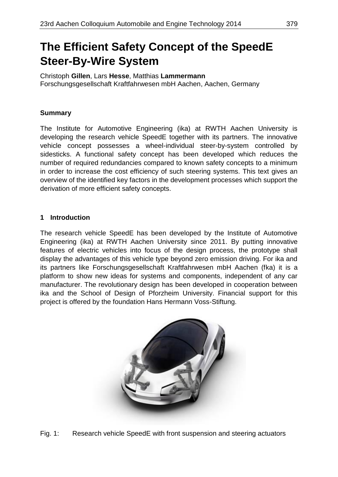# **The Efficient Safety Concept of the SpeedE Steer-By-Wire System**

Christoph **Gillen**, Lars **Hesse**, Matthias **Lammermann**  Forschungsgesellschaft Kraftfahrwesen mbH Aachen, Aachen, Germany

### **Summary**

The Institute for Automotive Engineering (ika) at RWTH Aachen University is developing the research vehicle SpeedE together with its partners. The innovative vehicle concept possesses a wheel-individual steer-by-system controlled by sidesticks. A functional safety concept has been developed which reduces the number of required redundancies compared to known safety concepts to a minimum in order to increase the cost efficiency of such steering systems. This text gives an overview of the identified key factors in the development processes which support the derivation of more efficient safety concepts.

#### **1 Introduction**

The research vehicle SpeedE has been developed by the Institute of Automotive Engineering (ika) at RWTH Aachen University since 2011. By putting innovative features of electric vehicles into focus of the design process, the prototype shall display the advantages of this vehicle type beyond zero emission driving. For ika and its partners like Forschungsgesellschaft Kraftfahrwesen mbH Aachen (fka) it is a platform to show new ideas for systems and components, independent of any car manufacturer. The revolutionary design has been developed in cooperation between ika and the School of Design of Pforzheim University. Financial support for this project is offered by the foundation Hans Hermann Voss-Stiftung.



Fig. 1: Research vehicle SpeedE with front suspension and steering actuators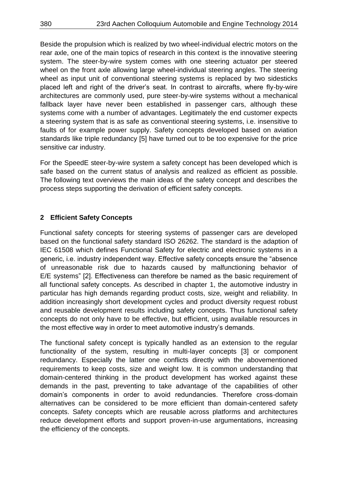Beside the propulsion which is realized by two wheel-individual electric motors on the rear axle, one of the main topics of research in this context is the innovative steering system. The steer-by-wire system comes with one steering actuator per steered wheel on the front axle allowing large wheel-individual steering angles. The steering wheel as input unit of conventional steering systems is replaced by two sidesticks placed left and right of the driver's seat. In contrast to aircrafts, where fly-by-wire architectures are commonly used, pure steer-by-wire systems without a mechanical fallback layer have never been established in passenger cars, although these systems come with a number of advantages. Legitimately the end customer expects a steering system that is as safe as conventional steering systems, i.e. insensitive to faults of for example power supply. Safety concepts developed based on aviation standards like triple redundancy [5] have turned out to be too expensive for the price sensitive car industry.

For the SpeedE steer-by-wire system a safety concept has been developed which is safe based on the current status of analysis and realized as efficient as possible. The following text overviews the main ideas of the safety concept and describes the process steps supporting the derivation of efficient safety concepts.

#### **2 Efficient Safety Concepts**

Functional safety concepts for steering systems of passenger cars are developed based on the functional safety standard ISO 26262. The standard is the adaption of IEC 61508 which defines Functional Safety for electric and electronic systems in a generic, i.e. industry independent way. Effective safety concepts ensure the "absence of unreasonable risk due to hazards caused by malfunctioning behavior of E/E systems" [2]. Effectiveness can therefore be named as the basic requirement of all functional safety concepts. As described in chapter 1, the automotive industry in particular has high demands regarding product costs, size, weight and reliability. In addition increasingly short development cycles and product diversity request robust and reusable development results including safety concepts. Thus functional safety concepts do not only have to be effective, but efficient, using available resources in the most effective way in order to meet automotive industry's demands.

The functional safety concept is typically handled as an extension to the regular functionality of the system, resulting in multi-layer concepts [3] or component redundancy. Especially the latter one conflicts directly with the abovementioned requirements to keep costs, size and weight low. It is common understanding that domain-centered thinking in the product development has worked against these demands in the past, preventing to take advantage of the capabilities of other domain's components in order to avoid redundancies. Therefore cross-domain alternatives can be considered to be more efficient than domain-centered safety concepts. Safety concepts which are reusable across platforms and architectures reduce development efforts and support proven-in-use argumentations, increasing the efficiency of the concepts.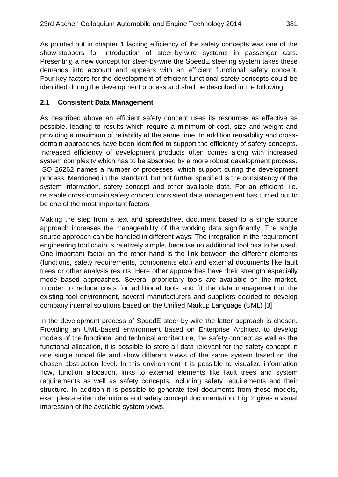As pointed out in chapter 1 lacking efficiency of the safety concepts was one of the show-stoppers for introduction of steer-by-wire systems in passenger cars. Presenting a new concept for steer-by-wire the SpeedE steering system takes these demands into account and appears with an efficient functional safety concept. Four key factors for the development of efficient functional safety concepts could be identified during the development process and shall be described in the following.

#### **2.1 Consistent Data Management**

As described above an efficient safety concept uses its resources as effective as possible, leading to results which require a minimum of cost, size and weight and providing a maximum of reliability at the same time. In addition reusability and crossdomain approaches have been identified to support the efficiency of safety concepts. Increased efficiency of development products often comes along with increased system complexity which has to be absorbed by a more robust development process. ISO 26262 names a number of processes, which support during the development process. Mentioned in the standard, but not further specified is the consistency of the system information, safety concept and other available data. For an efficient, i.e. reusable cross-domain safety concept consistent data management has turned out to be one of the most important factors.

Making the step from a text and spreadsheet document based to a single source approach increases the manageability of the working data significantly. The single source approach can be handled in different ways: The integration in the requirement engineering tool chain is relatively simple, because no additional tool has to be used. One important factor on the other hand is the link between the different elements (functions, safety requirements, components etc.) and external documents like fault trees or other analysis results. Here other approaches have their strength especially model-based approaches. Several proprietary tools are available on the market. In order to reduce costs for additional tools and fit the data management in the existing tool environment, several manufacturers and suppliers decided to develop company internal solutions based on the Unified Markup Language (UML) [3].

In the development process of SpeedE steer-by-wire the latter approach is chosen. Providing an UML-based environment based on Enterprise Architect to develop models of the functional and technical architecture, the safety concept as well as the functional allocation, it is possible to store all data relevant for the safety concept in one single model file and show different views of the same system based on the chosen abstraction level. In this environment it is possible to visualize information flow, function allocation, links to external elements like fault trees and system requirements as well as safety concepts, including safety requirements and their structure. In addition it is possible to generate text documents from these models, examples are item definitions and safety concept documentation. Fig. 2 gives a visual impression of the available system views.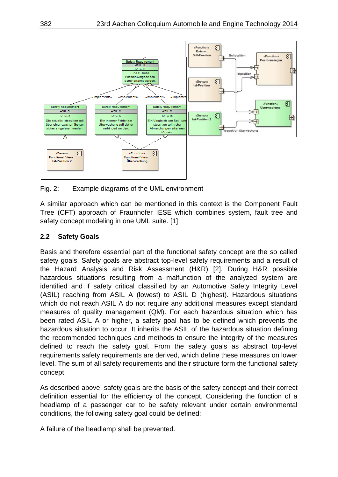

Fig. 2: Example diagrams of the UML environment

A similar approach which can be mentioned in this context is the Component Fault Tree (CFT) approach of Fraunhofer IESE which combines system, fault tree and safety concept modeling in one UML suite. [1]

#### **2.2 Safety Goals**

Basis and therefore essential part of the functional safety concept are the so called safety goals. Safety goals are abstract top-level safety requirements and a result of the Hazard Analysis and Risk Assessment (H&R) [2]. During H&R possible hazardous situations resulting from a malfunction of the analyzed system are identified and if safety critical classified by an Automotive Safety Integrity Level (ASIL) reaching from ASIL A (lowest) to ASIL D (highest). Hazardous situations which do not reach ASIL A do not require any additional measures except standard measures of quality management (QM). For each hazardous situation which has been rated ASIL A or higher, a safety goal has to be defined which prevents the hazardous situation to occur. It inherits the ASIL of the hazardous situation defining the recommended techniques and methods to ensure the integrity of the measures defined to reach the safety goal. From the safety goals as abstract top-level requirements safety requirements are derived, which define these measures on lower level. The sum of all safety requirements and their structure form the functional safety concept.

As described above, safety goals are the basis of the safety concept and their correct definition essential for the efficiency of the concept. Considering the function of a headlamp of a passenger car to be safety relevant under certain environmental conditions, the following safety goal could be defined:

A failure of the headlamp shall be prevented.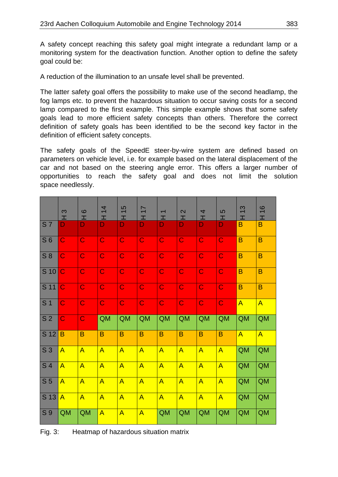A safety concept reaching this safety goal might integrate a redundant lamp or a monitoring system for the deactivation function. Another option to define the safety goal could be:

A reduction of the illumination to an unsafe level shall be prevented.

The latter safety goal offers the possibility to make use of the second headlamp, the fog lamps etc. to prevent the hazardous situation to occur saving costs for a second lamp compared to the first example. This simple example shows that some safety goals lead to more efficient safety concepts than others. Therefore the correct definition of safety goals has been identified to be the second key factor in the definition of efficient safety concepts.

The safety goals of the SpeedE steer-by-wire system are defined based on parameters on vehicle level, i.e. for example based on the lateral displacement of the car and not based on the steering angle error. This offers a larger number of opportunities to reach the safety goal and does not limit the solution space needlessly.

|                         | 3<br>ᆂ                  | $\circ$<br>ᆂ            | $\overline{4}$<br>$\overline{\phantom{0}}$<br>I | 5<br>$\overline{\phantom{0}}$<br>I | $\overline{1}$<br>I | $\overline{\phantom{0}}$<br>H | $\mathbf{\Omega}$<br>I | 4<br>ᆂ                  | 5<br>工         | 3<br>$\overline{\phantom{0}}$<br>ᆂ | $\frac{6}{5}$<br>ェ |
|-------------------------|-------------------------|-------------------------|-------------------------------------------------|------------------------------------|---------------------|-------------------------------|------------------------|-------------------------|----------------|------------------------------------|--------------------|
| S7                      | D                       | D                       | D                                               | D                                  | D                   | D                             | D                      | D                       | D              | B                                  | B                  |
| S <sub>6</sub>          | $\overline{C}$          | $\overline{C}$          | $\mathbf C$                                     | $\mathbf C$                        | $\mathbf C$         | $\mathbf C$                   | $\mathbf C$            | $\mathbf C$             | $\mathbf C$    | $\sf{B}$                           | $\overline{B}$     |
| $\overline{\text{S}}$ 8 | C                       | $\mathbf C$             | $\mathbf C$                                     | $\mathbf C$                        | $\mathbf C$         | $\mathbf C$                   | $\mathbf C$            | $\mathbf C$             | $\mathbf C$    | B                                  | B                  |
| $S$ 10                  | C                       | $\mathbf C$             | $\mathbf C$                                     | $\overline{\text{C}}$              | $\mathbf C$         | $\mathbf C$                   | $\mathbf C$            | $\mathbf C$             | $\mathbf C$    | B                                  | $\sf B$            |
| <b>S</b> 11             | C                       | $\mathbf C$             | $\mathbf C$                                     | $\overline{C}$                     | $\mathsf C$         | $\mathbf C$                   | $\mathbf C$            | $\mathbf C$             | $\mathbf C$    | B                                  | $\overline{B}$     |
| S <sub>1</sub>          | $\overline{C}$          | $\overline{C}$          | $\mathbf C$                                     | $\mathbf C$                        | $\mathbf C$         | $\mathbf C$                   | $\mathbf C$            | $\mathbf C$             | $\mathsf C$    | $\overline{A}$                     | $\overline{A}$     |
| S <sub>2</sub>          | C                       | $\overline{C}$          | <b>QM</b>                                       | <b>QM</b>                          | <b>QM</b>           | <b>QM</b>                     | <b>QM</b>              | <b>QM</b>               | <b>QM</b>      | <b>QM</b>                          | <b>QM</b>          |
| S <sub>12</sub>         | B                       | B                       | B                                               | B                                  | B                   | B                             | B                      | B                       | B              | $\mathsf{A}$                       | $\mathsf{A}$       |
| $\overline{\text{S}3}$  | A                       | $\overline{\mathsf{A}}$ | $\overline{A}$                                  | $\overline{A}$                     | $\overline{A}$      | $\overline{A}$                | $\overline{A}$         | $\overline{\mathsf{A}}$ | $\overline{A}$ | <b>QM</b>                          | <b>QM</b>          |
| S <sub>4</sub>          | $\overline{A}$          | $\overline{A}$          | $\overline{A}$                                  | $\overline{A}$                     | $\overline{A}$      | $\overline{A}$                | $\overline{A}$         | $\overline{\mathsf{A}}$ | $\overline{A}$ | <b>QM</b>                          | <b>QM</b>          |
| S <sub>5</sub>          | $\overline{A}$          | $\overline{A}$          | $\overline{A}$                                  | $\overline{A}$                     | $\overline{A}$      | $\overline{A}$                | $\overline{A}$         | $\overline{A}$          | $\overline{A}$ | <b>QM</b>                          | <b>QM</b>          |
| S <sub>13</sub>         | $\overline{\mathsf{A}}$ | $\overline{A}$          | $\overline{A}$                                  | $\overline{A}$                     | $\overline{A}$      | $\overline{A}$                | $\overline{A}$         | $\overline{A}$          | $\overline{A}$ | <b>QM</b>                          | <b>QM</b>          |
| S <sub>9</sub>          | <b>QM</b>               | <b>QM</b>               | A                                               | $\overline{A}$                     | $\overline{A}$      | <b>QM</b>                     | <b>QM</b>              | <b>QM</b>               | <b>QM</b>      | <b>QM</b>                          | <b>QM</b>          |

Fig. 3: Heatmap of hazardous situation matrix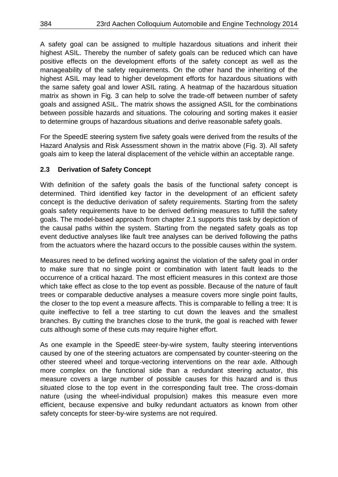A safety goal can be assigned to multiple hazardous situations and inherit their highest ASIL. Thereby the number of safety goals can be reduced which can have positive effects on the development efforts of the safety concept as well as the manageability of the safety requirements. On the other hand the inheriting of the highest ASIL may lead to higher development efforts for hazardous situations with the same safety goal and lower ASIL rating. A heatmap of the hazardous situation matrix as shown in Fig. 3 can help to solve the trade-off between number of safety goals and assigned ASIL. The matrix shows the assigned ASIL for the combinations between possible hazards and situations. The colouring and sorting makes it easier to determine groups of hazardous situations and derive reasonable safety goals.

For the SpeedE steering system five safety goals were derived from the results of the Hazard Analysis and Risk Assessment shown in the matrix above (Fig. 3). All safety goals aim to keep the lateral displacement of the vehicle within an acceptable range.

## **2.3 Derivation of Safety Concept**

With definition of the safety goals the basis of the functional safety concept is determined. Third identified key factor in the development of an efficient safety concept is the deductive derivation of safety requirements. Starting from the safety goals safety requirements have to be derived defining measures to fulfill the safety goals. The model-based approach from chapter 2.1 supports this task by depiction of the causal paths within the system. Starting from the negated safety goals as top event deductive analyses like fault tree analyses can be derived following the paths from the actuators where the hazard occurs to the possible causes within the system.

Measures need to be defined working against the violation of the safety goal in order to make sure that no single point or combination with latent fault leads to the occurrence of a critical hazard. The most efficient measures in this context are those which take effect as close to the top event as possible. Because of the nature of fault trees or comparable deductive analyses a measure covers more single point faults, the closer to the top event a measure affects. This is comparable to felling a tree: It is quite ineffective to fell a tree starting to cut down the leaves and the smallest branches. By cutting the branches close to the trunk, the goal is reached with fewer cuts although some of these cuts may require higher effort.

As one example in the SpeedE steer-by-wire system, faulty steering interventions caused by one of the steering actuators are compensated by counter-steering on the other steered wheel and torque-vectoring interventions on the rear axle. Although more complex on the functional side than a redundant steering actuator, this measure covers a large number of possible causes for this hazard and is thus situated close to the top event in the corresponding fault tree. The cross-domain nature (using the wheel-individual propulsion) makes this measure even more efficient, because expensive and bulky redundant actuators as known from other safety concepts for steer-by-wire systems are not required.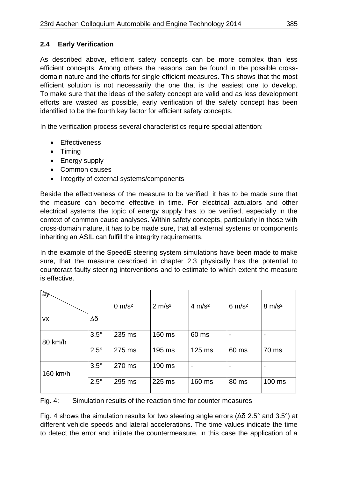## **2.4 Early Verification**

As described above, efficient safety concepts can be more complex than less efficient concepts. Among others the reasons can be found in the possible crossdomain nature and the efforts for single efficient measures. This shows that the most efficient solution is not necessarily the one that is the easiest one to develop. To make sure that the ideas of the safety concept are valid and as less development efforts are wasted as possible, early verification of the safety concept has been identified to be the fourth key factor for efficient safety concepts.

In the verification process several characteristics require special attention:

- Effectiveness
- Timing
- Energy supply
- Common causes
- Integrity of external systems/components

Beside the effectiveness of the measure to be verified, it has to be made sure that the measure can become effective in time. For electrical actuators and other electrical systems the topic of energy supply has to be verified, especially in the context of common cause analyses. Within safety concepts, particularly in those with cross-domain nature, it has to be made sure, that all external systems or components inheriting an ASIL can fulfill the integrity requirements.

In the example of the SpeedE steering system simulations have been made to make sure, that the measure described in chapter 2.3 physically has the potential to counteract faulty steering interventions and to estimate to which extent the measure is effective.

| ay       |             | $0 m/s^2$ | 2 m/s <sup>2</sup> | 4 m/s <sup>2</sup> | 6 m/s <sup>2</sup> | $8 \text{ m/s}^2$ |
|----------|-------------|-----------|--------------------|--------------------|--------------------|-------------------|
| VX       | Δδ          |           |                    |                    |                    |                   |
| 80 km/h  | $3.5^\circ$ | 235 ms    | 150 ms             | 60 ms              |                    |                   |
|          | $2.5^\circ$ | 275 ms    | 195 ms             | $125$ ms           | 60 ms              | 70 ms             |
| 160 km/h | $3.5^\circ$ | 270 ms    | 190 ms             | $\blacksquare$     |                    |                   |
|          | $2.5^\circ$ | 295 ms    | 225 ms             | 160 ms             | 80 ms              | 100 ms            |

Fig. 4: Simulation results of the reaction time for counter measures

Fig. 4 shows the simulation results for two steering angle errors ( $Δδ$  2.5° and 3.5°) at different vehicle speeds and lateral accelerations. The time values indicate the time to detect the error and initiate the countermeasure, in this case the application of a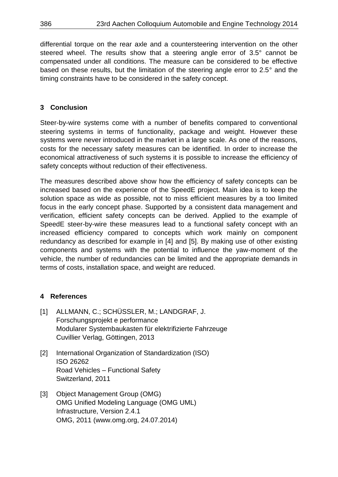differential torque on the rear axle and a countersteering intervention on the other steered wheel. The results show that a steering angle error of 3.5° cannot be compensated under all conditions. The measure can be considered to be effective based on these results, but the limitation of the steering angle error to 2.5° and the timing constraints have to be considered in the safety concept.

#### **3 Conclusion**

Steer-by-wire systems come with a number of benefits compared to conventional steering systems in terms of functionality, package and weight. However these systems were never introduced in the market in a large scale. As one of the reasons, costs for the necessary safety measures can be identified. In order to increase the economical attractiveness of such systems it is possible to increase the efficiency of safety concepts without reduction of their effectiveness.

The measures described above show how the efficiency of safety concepts can be increased based on the experience of the SpeedE project. Main idea is to keep the solution space as wide as possible, not to miss efficient measures by a too limited focus in the early concept phase. Supported by a consistent data management and verification, efficient safety concepts can be derived. Applied to the example of SpeedE steer-by-wire these measures lead to a functional safety concept with an increased efficiency compared to concepts which work mainly on component redundancy as described for example in [4] and [5]. By making use of other existing components and systems with the potential to influence the yaw-moment of the vehicle, the number of redundancies can be limited and the appropriate demands in terms of costs, installation space, and weight are reduced.

#### **4 References**

- [1] ALLMANN, C.; SCHÜSSLER, M.; LANDGRAF, J. Forschungsprojekt e performance Modularer Systembaukasten für elektrifizierte Fahrzeuge Cuvillier Verlag, Göttingen, 2013
- [2] International Organization of Standardization (ISO) ISO 26262 Road Vehicles – Functional Safety Switzerland, 2011
- [3] Object Management Group (OMG) OMG Unified Modeling Language (OMG UML) Infrastructure, Version 2.4.1 OMG, 2011 (www.omg.org, 24.07.2014)